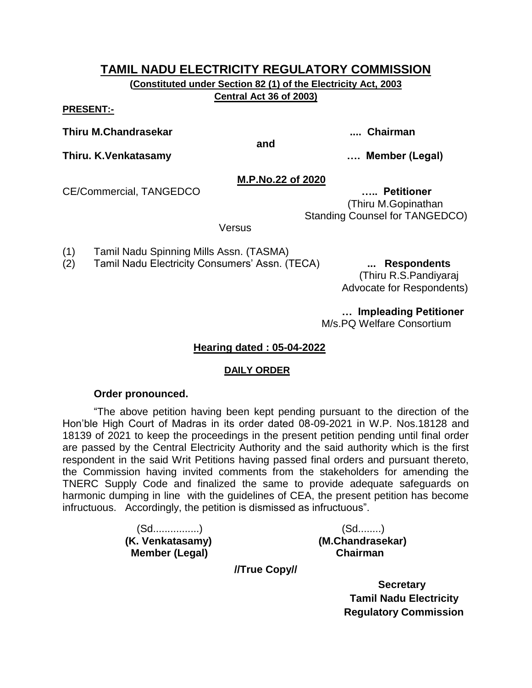**(Constituted under Section 82 (1) of the Electricity Act, 2003 Central Act 36 of 2003)**

**PRESENT:-**

**Thiru M.Chandrasekar .... Chairman**

**and**

**Thiru. K.Venkatasamy …. Member (Legal)**

**M.P.No.22 of 2020**

CE/Commercial, TANGEDCO **….. Petitioner**

 (Thiru M.Gopinathan Standing Counsel for TANGEDCO)

**Versus** 

- (1) Tamil Nadu Spinning Mills Assn. (TASMA)
- (2) Tamil Nadu Electricity Consumers' Assn. (TECA) **... Respondents**

 (Thiru R.S.Pandiyaraj Advocate for Respondents)

 **… Impleading Petitioner** M/s.PQ Welfare Consortium

## **Hearing dated : 05-04-2022**

## **DAILY ORDER**

## **Order pronounced.**

"The above petition having been kept pending pursuant to the direction of the Hon'ble High Court of Madras in its order dated 08-09-2021 in W.P. Nos.18128 and 18139 of 2021 to keep the proceedings in the present petition pending until final order are passed by the Central Electricity Authority and the said authority which is the first respondent in the said Writ Petitions having passed final orders and pursuant thereto, the Commission having invited comments from the stakeholders for amending the TNERC Supply Code and finalized the same to provide adequate safeguards on harmonic dumping in line with the guidelines of CEA, the present petition has become infructuous. Accordingly, the petition is dismissed as infructuous".

> (Sd................) (Sd........) **(K. Venkatasamy) (M.Chandrasekar) Member (Legal) Chairman**

**//True Copy//**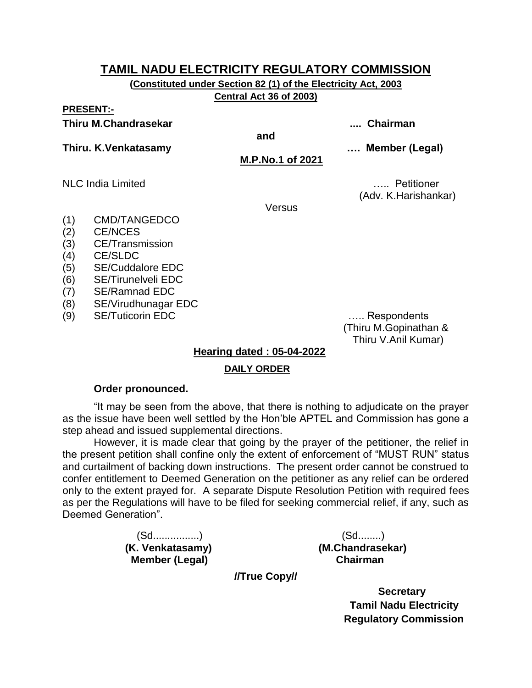**(Constituted under Section 82 (1) of the Electricity Act, 2003 Central Act 36 of 2003)**

## **PRESENT:-**

**Thiru M.Chandrasekar .... Chairman**

**and**

**Thiru. K.Venkatasamy …. Member (Legal)**

**M.P.No.1 of 2021**

NLC India Limited ….. Petitioner

(Adv. K.Harishankar)

**Versus** 

- (1) CMD/TANGEDCO
- (2) CE/NCES
- (3) CE/Transmission
- (4) CE/SLDC
- (5) SE/Cuddalore EDC
- (6) SE/Tirunelveli EDC
- (7) SE/Ramnad EDC
- (8) SE/Virudhunagar EDC
- (9) SE/Tuticorin EDC ….. Respondents

 (Thiru M.Gopinathan & Thiru V.Anil Kumar)

## **Hearing dated : 05-04-2022**

## **DAILY ORDER**

## **Order pronounced.**

"It may be seen from the above, that there is nothing to adjudicate on the prayer as the issue have been well settled by the Hon'ble APTEL and Commission has gone a step ahead and issued supplemental directions.

However, it is made clear that going by the prayer of the petitioner, the relief in the present petition shall confine only the extent of enforcement of "MUST RUN" status and curtailment of backing down instructions. The present order cannot be construed to confer entitlement to Deemed Generation on the petitioner as any relief can be ordered only to the extent prayed for. A separate Dispute Resolution Petition with required fees as per the Regulations will have to be filed for seeking commercial relief, if any, such as Deemed Generation".

> (Sd................) (Sd........)  **Member (Legal) Chairman**

**(K. Venkatasamy) (M.Chandrasekar)**

**//True Copy//**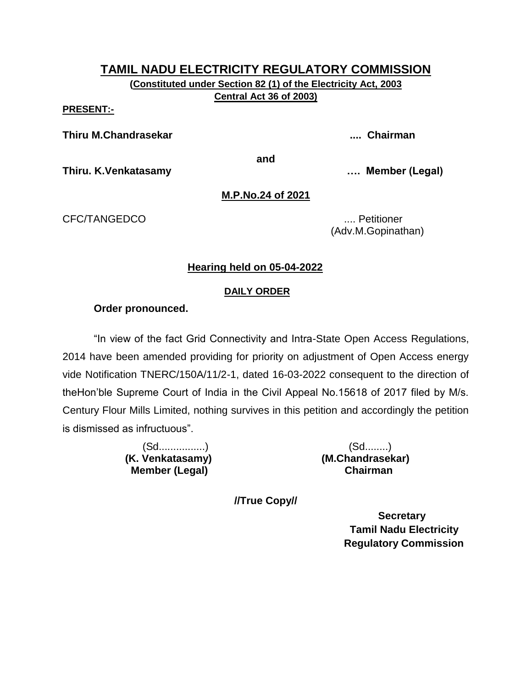**(Constituted under Section 82 (1) of the Electricity Act, 2003 Central Act 36 of 2003)**

**PRESENT:-**

**Thiru M.Chandrasekar .... Chairman**

**and**

**Thiru. K.Venkatasamy …. Member (Legal)**

## **M.P.No.24 of 2021**

CFC/TANGEDCO .... Petitioner

(Adv.M.Gopinathan)

## **Hearing held on 05-04-2022**

## **DAILY ORDER**

## **Order pronounced.**

"In view of the fact Grid Connectivity and Intra-State Open Access Regulations, 2014 have been amended providing for priority on adjustment of Open Access energy vide Notification TNERC/150A/11/2-1, dated 16-03-2022 consequent to the direction of theHon'ble Supreme Court of India in the Civil Appeal No.15618 of 2017 filed by M/s. Century Flour Mills Limited, nothing survives in this petition and accordingly the petition is dismissed as infructuous".

> **(K. Venkatasamy) (M.Chandrasekar) Member (Legal)**

(Sd................) (Sd........)

**//True Copy//**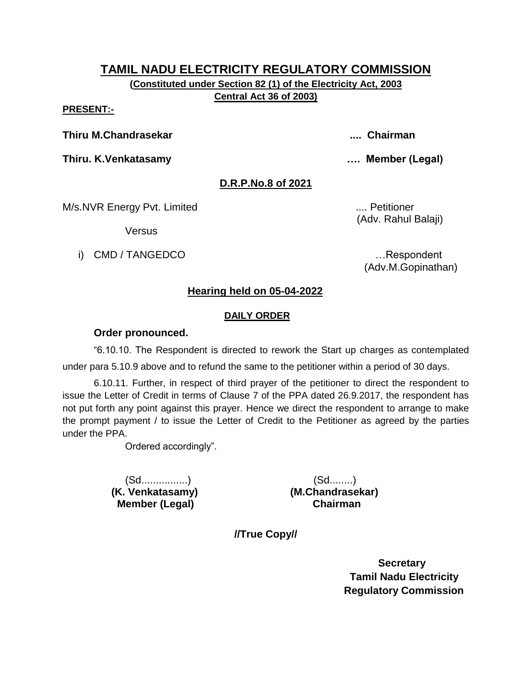**(Constituted under Section 82 (1) of the Electricity Act, 2003 Central Act 36 of 2003)**

#### **PRESENT:-**

**Thiru M.Chandrasekar .... Chairman**

**Thiru. K.Venkatasamy …. Member (Legal)**

## **D.R.P.No.8 of 2021**

M/s.NVR Energy Pvt. Limited ..... **MILES 2008** .... Petitioner

Versus

i) CMD / TANGEDCO **in the set of the set of the set of the set of the set of the set of the set of the set of the set of the set of the set of the set of the set of the set of the set of the set of the set of the set of th** 

(Adv. Rahul Balaji)

(Adv.M.Gopinathan)

## **Hearing held on 05-04-2022**

## **DAILY ORDER**

#### **Order pronounced.**

"6.10.10. The Respondent is directed to rework the Start up charges as contemplated

under para 5.10.9 above and to refund the same to the petitioner within a period of 30 days.

6.10.11. Further, in respect of third prayer of the petitioner to direct the respondent to issue the Letter of Credit in terms of Clause 7 of the PPA dated 26.9.2017, the respondent has not put forth any point against this prayer. Hence we direct the respondent to arrange to make the prompt payment / to issue the Letter of Credit to the Petitioner as agreed by the parties under the PPA.

Ordered accordingly".

(Sd................) (Sd........)  **Member (Legal) Chairman**

 **(K. Venkatasamy) (M.Chandrasekar)**

**//True Copy//**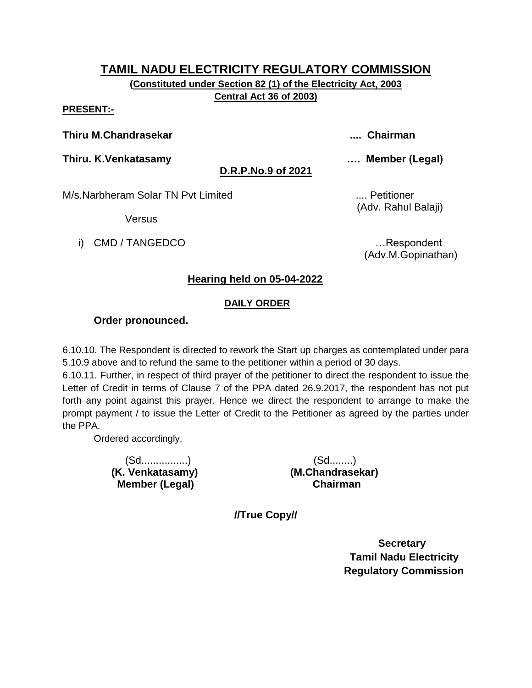**(Constituted under Section 82 (1) of the Electricity Act, 2003 Central Act 36 of 2003)**

#### **PRESENT:-**

**Thiru M.Chandrasekar .... Chairman**

**Thiru. K.Venkatasamy …. Member (Legal)**

**D.R.P.No.9 of 2021**

M/s.Narbheram Solar TN Pvt Limited .... Petitioner

Versus

i) CMD / TANGEDCO **i** example the state of the state of the state of the state of the state of the state of the state of the state of the state of the state of the state of the state of the state of the state of the state

(Adv. Rahul Balaji)

(Adv.M.Gopinathan)

## **Hearing held on 05-04-2022**

#### **DAILY ORDER**

#### **Order pronounced.**

6.10.10. The Respondent is directed to rework the Start up charges as contemplated under para 5.10.9 above and to refund the same to the petitioner within a period of 30 days.

6.10.11. Further, in respect of third prayer of the petitioner to direct the respondent to issue the Letter of Credit in terms of Clause 7 of the PPA dated 26.9.2017, the respondent has not put forth any point against this prayer. Hence we direct the respondent to arrange to make the prompt payment / to issue the Letter of Credit to the Petitioner as agreed by the parties under the PPA.

Ordered accordingly.

(Sd................) (Sd........)  **Member (Legal) Chairman**

 **(K. Venkatasamy) (M.Chandrasekar)**

**//True Copy//**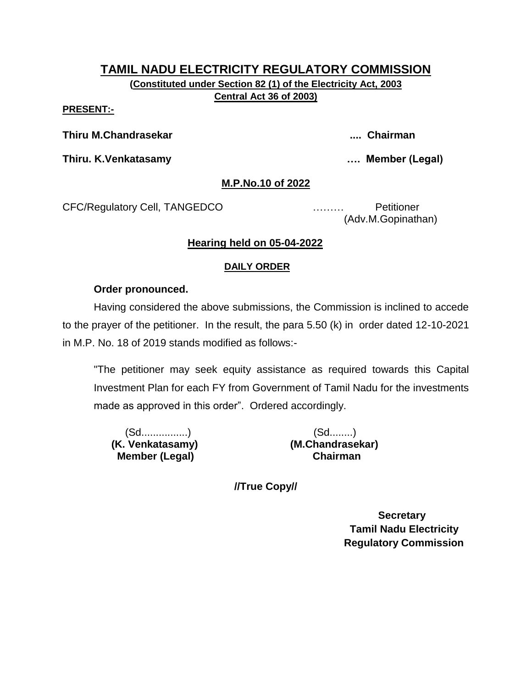**(Constituted under Section 82 (1) of the Electricity Act, 2003 Central Act 36 of 2003)**

**PRESENT:-**

**Thiru M.Chandrasekar .... Chairman**

**Thiru. K.Venkatasamy …. Member (Legal)**

#### **M.P.No.10 of 2022**

CFC/Regulatory Cell, TANGEDCO ……… Petitioner

(Adv.M.Gopinathan)

## **Hearing held on 05-04-2022**

## **DAILY ORDER**

## **Order pronounced.**

Having considered the above submissions, the Commission is inclined to accede to the prayer of the petitioner. In the result, the para 5.50 (k) in order dated 12-10-2021 in M.P. No. 18 of 2019 stands modified as follows:-

"The petitioner may seek equity assistance as required towards this Capital Investment Plan for each FY from Government of Tamil Nadu for the investments made as approved in this order". Ordered accordingly.

(Sd................) (Sd........)  **Member (Legal) Chairman**

 **(K. Venkatasamy) (M.Chandrasekar)**

**//True Copy//**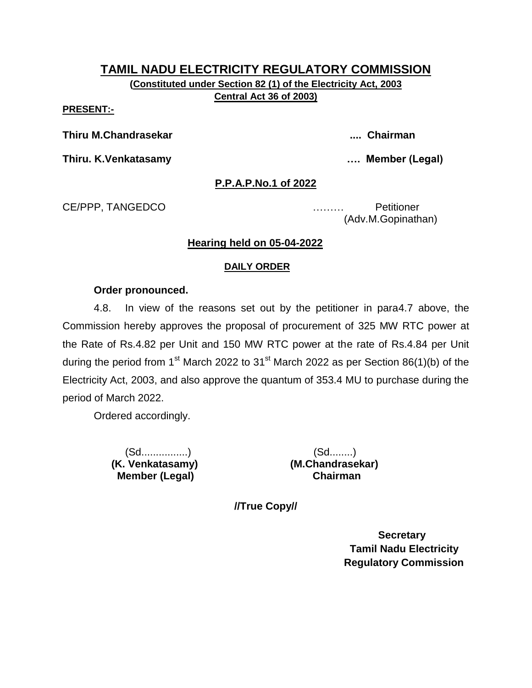**(Constituted under Section 82 (1) of the Electricity Act, 2003 Central Act 36 of 2003)**

#### **PRESENT:-**

**Thiru M.Chandrasekar .... Chairman**

**Thiru. K.Venkatasamy …. Member (Legal)**

#### **P.P.A.P.No.1 of 2022**

CE/PPP, TANGEDCO ……… Petitioner

(Adv.M.Gopinathan)

#### **Hearing held on 05-04-2022**

#### **DAILY ORDER**

#### **Order pronounced.**

4.8. In view of the reasons set out by the petitioner in para4.7 above, the Commission hereby approves the proposal of procurement of 325 MW RTC power at the Rate of Rs.4.82 per Unit and 150 MW RTC power at the rate of Rs.4.84 per Unit during the period from 1<sup>st</sup> March 2022 to 31<sup>st</sup> March 2022 as per Section 86(1)(b) of the Electricity Act, 2003, and also approve the quantum of 353.4 MU to purchase during the period of March 2022.

Ordered accordingly.

(Sd................) (Sd........)  **Member (Legal) Chairman**

 **(K. Venkatasamy) (M.Chandrasekar)**

**//True Copy//**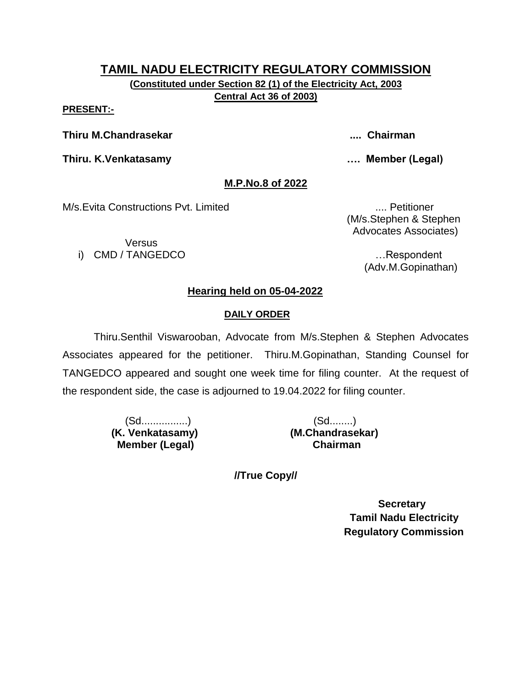**(Constituted under Section 82 (1) of the Electricity Act, 2003 Central Act 36 of 2003)**

**PRESENT:-**

**Thiru M.Chandrasekar .... Chairman**

**Thiru. K.Venkatasamy …. Member (Legal)**

## **M.P.No.8 of 2022**

M/s.Evita Constructions Pvt. Limited .... Petitioner

Versus i) CMD / TANGEDCO …Respondent

 (M/s.Stephen & Stephen Advocates Associates)

(Adv.M.Gopinathan)

## **Hearing held on 05-04-2022**

## **DAILY ORDER**

Thiru.Senthil Viswarooban, Advocate from M/s.Stephen & Stephen Advocates Associates appeared for the petitioner. Thiru.M.Gopinathan, Standing Counsel for TANGEDCO appeared and sought one week time for filing counter. At the request of the respondent side, the case is adjourned to 19.04.2022 for filing counter.

> (Sd................) (Sd........) **Member (Legal)**

 **(K. Venkatasamy) (M.Chandrasekar)**

**//True Copy//**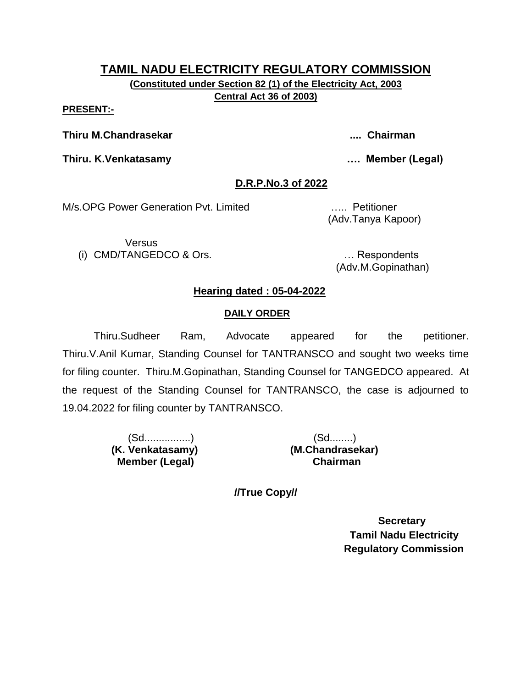**(Constituted under Section 82 (1) of the Electricity Act, 2003 Central Act 36 of 2003)**

**PRESENT:-**

**Thiru M.Chandrasekar .... Chairman**

**Thiru. K.Venkatasamy …. Member (Legal)**

## **D.R.P.No.3 of 2022**

M/s.OPG Power Generation Pvt. Limited ….. Petitioner

**Versus** (i) CMD/TANGEDCO & Ors. … Respondents

(Adv.Tanya Kapoor)

(Adv.M.Gopinathan)

## **Hearing dated : 05-04-2022**

## **DAILY ORDER**

Thiru.Sudheer Ram, Advocate appeared for the petitioner. Thiru.V.Anil Kumar, Standing Counsel for TANTRANSCO and sought two weeks time for filing counter. Thiru.M.Gopinathan, Standing Counsel for TANGEDCO appeared. At the request of the Standing Counsel for TANTRANSCO, the case is adjourned to 19.04.2022 for filing counter by TANTRANSCO.

> (Sd................) (Sd........)  **Member (Legal) Chairman**

 **(K. Venkatasamy) (M.Chandrasekar)**

**//True Copy//**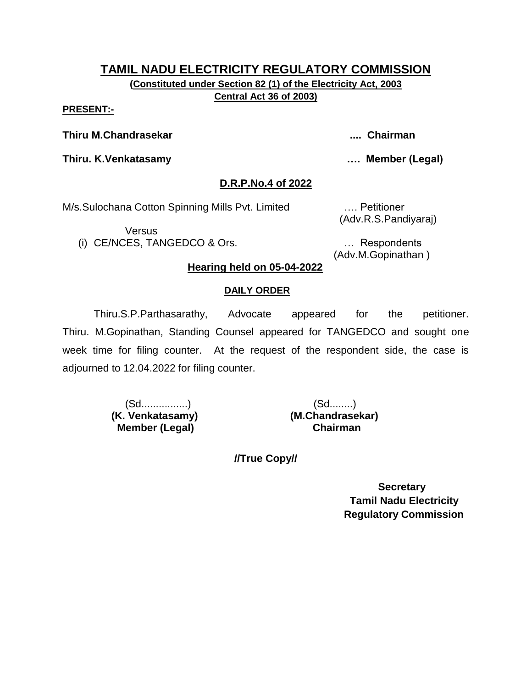**(Constituted under Section 82 (1) of the Electricity Act, 2003 Central Act 36 of 2003)**

#### **PRESENT:-**

**Thiru M.Chandrasekar .... Chairman**

**Thiru. K.Venkatasamy …. Member (Legal)**

#### **D.R.P.No.4 of 2022**

M/s.Sulochana Cotton Spinning Mills Pvt. Limited …. Petitioner

Versus

(i) CE/NCES, TANGEDCO & Ors. … Respondents

(Adv.R.S.Pandiyaraj)

(Adv.M.Gopinathan )

#### **Hearing held on 05-04-2022**

#### **DAILY ORDER**

Thiru.S.P.Parthasarathy, Advocate appeared for the petitioner. Thiru. M.Gopinathan, Standing Counsel appeared for TANGEDCO and sought one week time for filing counter. At the request of the respondent side, the case is adjourned to 12.04.2022 for filing counter.

> (Sd................) (Sd........)  **Member (Legal) Chairman**

 **(K. Venkatasamy) (M.Chandrasekar)**

**//True Copy//**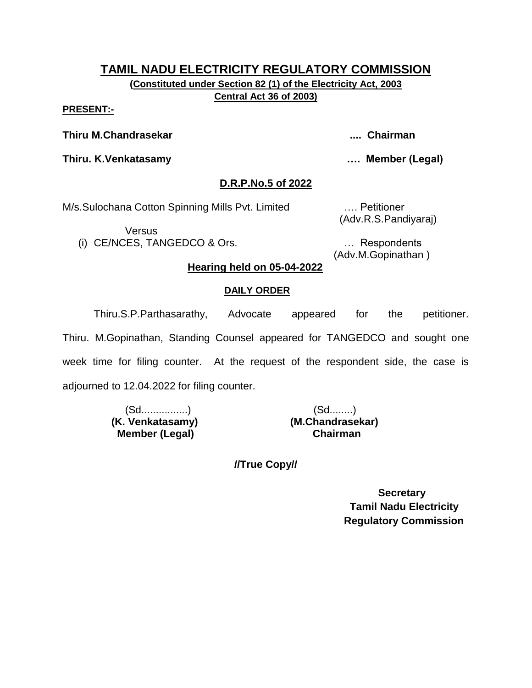**(Constituted under Section 82 (1) of the Electricity Act, 2003 Central Act 36 of 2003)**

#### **PRESENT:-**

**Thiru M.Chandrasekar .... Chairman**

**Thiru. K.Venkatasamy …. Member (Legal)**

#### **D.R.P.No.5 of 2022**

M/s.Sulochana Cotton Spinning Mills Pvt. Limited …. Petitioner

Versus

(i) CE/NCES, TANGEDCO & Ors. … Respondents

(Adv.R.S.Pandiyaraj)

(Adv.M.Gopinathan )

#### **Hearing held on 05-04-2022**

#### **DAILY ORDER**

Thiru.S.P.Parthasarathy, Advocate appeared for the petitioner. Thiru. M.Gopinathan, Standing Counsel appeared for TANGEDCO and sought one week time for filing counter. At the request of the respondent side, the case is adjourned to 12.04.2022 for filing counter.

> (Sd................) (Sd........)  **Member (Legal) Chairman**

 **(K. Venkatasamy) (M.Chandrasekar)**

**//True Copy//**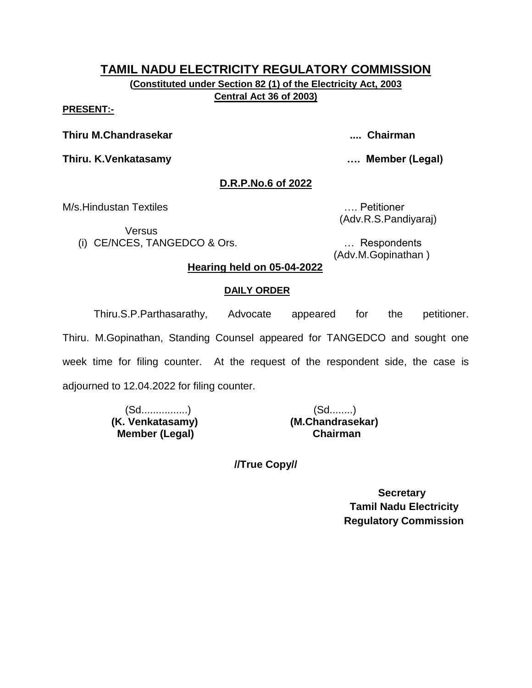**(Constituted under Section 82 (1) of the Electricity Act, 2003 Central Act 36 of 2003)**

#### **PRESENT:-**

**Thiru M.Chandrasekar .... Chairman**

**Thiru. K.Venkatasamy …. Member (Legal)**

#### **D.R.P.No.6 of 2022**

M/s.Hindustan Textiles …. Petitioner

**Versus** 

(i) CE/NCES, TANGEDCO & Ors. … Respondents

(Adv.R.S.Pandiyaraj)

(Adv.M.Gopinathan )

#### **Hearing held on 05-04-2022**

#### **DAILY ORDER**

Thiru.S.P.Parthasarathy, Advocate appeared for the petitioner. Thiru. M.Gopinathan, Standing Counsel appeared for TANGEDCO and sought one week time for filing counter. At the request of the respondent side, the case is adjourned to 12.04.2022 for filing counter.

> (Sd................) (Sd........)  **Member (Legal) Chairman**

 **(K. Venkatasamy) (M.Chandrasekar)**

**//True Copy//**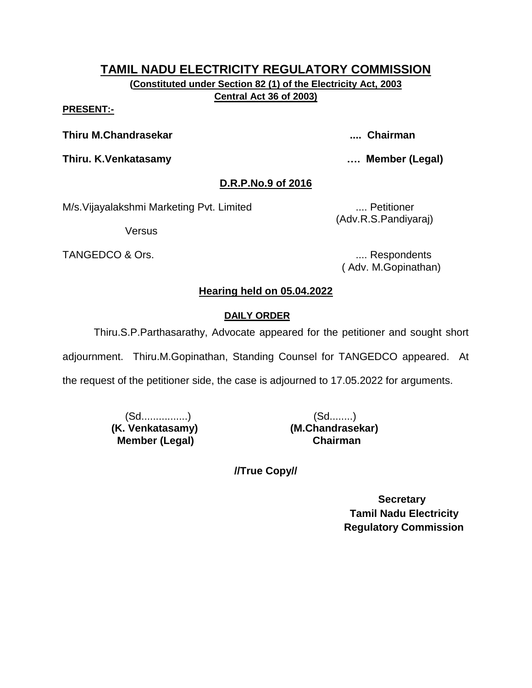**(Constituted under Section 82 (1) of the Electricity Act, 2003 Central Act 36 of 2003)**

#### **PRESENT:-**

**Thiru M.Chandrasekar .... Chairman**

**Thiru. K.Venkatasamy …. Member (Legal)**

## **D.R.P.No.9 of 2016**

M/s. Vijayalakshmi Marketing Pvt. Limited .... Petitioner

Versus

TANGEDCO & Ors. .... Respondents

(Adv.R.S.Pandiyaraj)

( Adv. M.Gopinathan)

## **Hearing held on 05.04.2022**

## **DAILY ORDER**

Thiru.S.P.Parthasarathy, Advocate appeared for the petitioner and sought short

adjournment. Thiru.M.Gopinathan, Standing Counsel for TANGEDCO appeared. At

the request of the petitioner side, the case is adjourned to 17.05.2022 for arguments.

(Sd................) (Sd........)  **(K. Venkatasamy) (M.Chandrasekar) Member (Legal) Chairman**

**//True Copy//**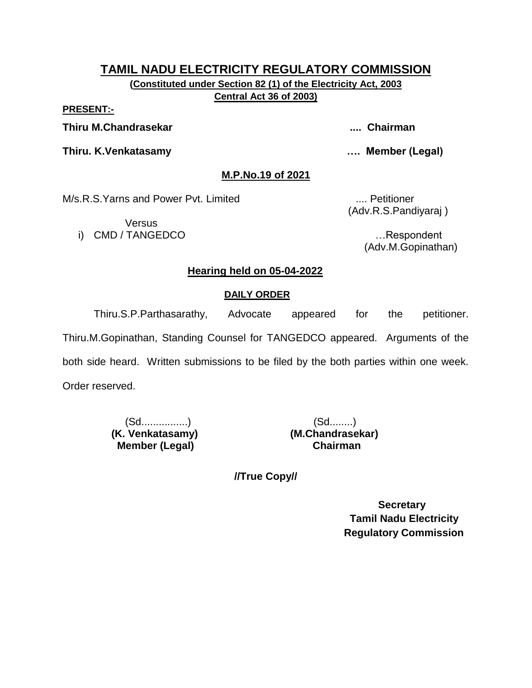**(Constituted under Section 82 (1) of the Electricity Act, 2003 Central Act 36 of 2003)**

**PRESENT:-**

**Thiru M.Chandrasekar .... Chairman**

**Thiru. K.Venkatasamy …. Member (Legal)**

**M.P.No.19 of 2021**

M/s.R.S.Yarns and Power Pvt. Limited .... Petitioner

**Versus** i) CMD / TANGEDCO **intervaluation and the contract of the contract of the contract of the contract of the contract of the contract of the contract of the contract of the contract of the contract of the contract of the cont** 

(Adv.R.S.Pandiyaraj )

(Adv.M.Gopinathan)

## **Hearing held on 05-04-2022**

## **DAILY ORDER**

Thiru.S.P.Parthasarathy, Advocate appeared for the petitioner. Thiru.M.Gopinathan, Standing Counsel for TANGEDCO appeared. Arguments of the both side heard. Written submissions to be filed by the both parties within one week. Order reserved.

> (Sd................) (Sd........)  **Member (Legal) Chairman**

 **(K. Venkatasamy) (M.Chandrasekar)**

**//True Copy//**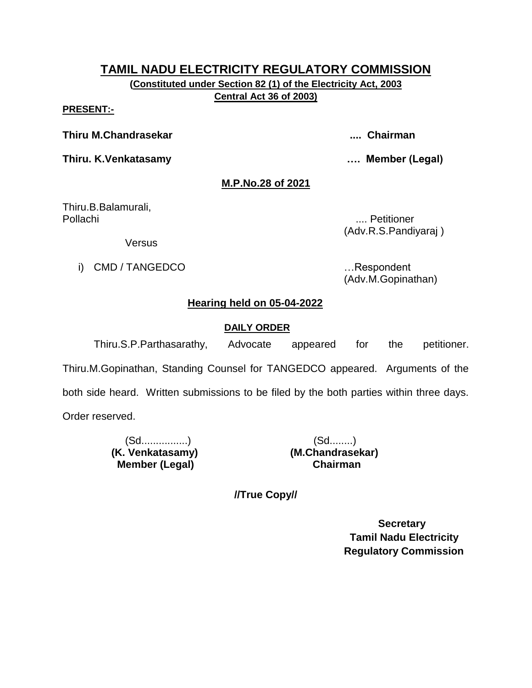**(Constituted under Section 82 (1) of the Electricity Act, 2003 Central Act 36 of 2003)**

#### **PRESENT:-**

**Thiru M.Chandrasekar .... Chairman**

**Thiru. K.Venkatasamy …. Member (Legal)**

#### **M.P.No.28 of 2021**

Thiru.B.Balamurali, Pollachi .... Petitioner

(Adv.R.S.Pandiyaraj )

Versus

i) CMD / TANGEDCO **in the set of the set of the set of the set of the set of the set of the set of the set of the set of the set of the set of the set of the set of the set of the set of the set of the set of the set of th** 

(Adv.M.Gopinathan)

## **Hearing held on 05-04-2022**

#### **DAILY ORDER**

Thiru.S.P.Parthasarathy, Advocate appeared for the petitioner. Thiru.M.Gopinathan, Standing Counsel for TANGEDCO appeared. Arguments of the both side heard. Written submissions to be filed by the both parties within three days. Order reserved.

> (Sd................) (Sd........)  **Member (Legal) Chairman**

 **(K. Venkatasamy) (M.Chandrasekar)**

**//True Copy//**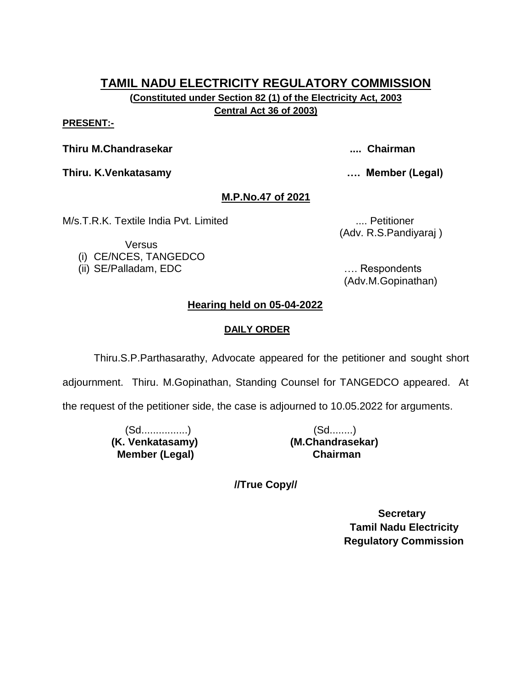**(Constituted under Section 82 (1) of the Electricity Act, 2003 Central Act 36 of 2003)**

#### **PRESENT:-**

**Thiru M.Chandrasekar .... Chairman**

**Thiru. K.Venkatasamy …. Member (Legal)**

## **M.P.No.47 of 2021**

M/s.T.R.K. Textile India Pvt. Limited .... Petitioner

Versus (i) CE/NCES, TANGEDCO (Adv. R.S.Pandiyaraj )

(ii) SE/Palladam, EDC 2000 and 2000 minutes with the subset of the second second in the second second in the second second second in the second second second second second second second second second second second second s (Adv.M.Gopinathan)

## **Hearing held on 05-04-2022**

## **DAILY ORDER**

Thiru.S.P.Parthasarathy, Advocate appeared for the petitioner and sought short adjournment. Thiru. M.Gopinathan, Standing Counsel for TANGEDCO appeared. At the request of the petitioner side, the case is adjourned to 10.05.2022 for arguments.

> (Sd................) (Sd........)  **Member (Legal) Chairman**

 **(K. Venkatasamy) (M.Chandrasekar)**

**//True Copy//**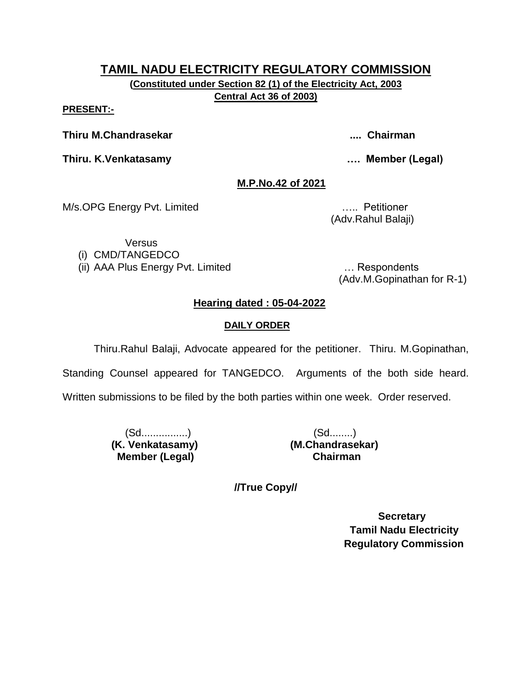**(Constituted under Section 82 (1) of the Electricity Act, 2003 Central Act 36 of 2003)**

**PRESENT:-**

**Thiru M.Chandrasekar .... Chairman**

**Thiru. K.Venkatasamy …. Member (Legal)**

## **M.P.No.42 of 2021**

M/s.OPG Energy Pvt. Limited ….. Petitioner

(Adv.Rahul Balaji)

**Versus** (i) CMD/TANGEDCO (ii) AAA Plus Energy Pvt. Limited … Respondents

(Adv.M.Gopinathan for R-1)

## **Hearing dated : 05-04-2022**

## **DAILY ORDER**

Thiru.Rahul Balaji, Advocate appeared for the petitioner. Thiru. M.Gopinathan,

Standing Counsel appeared for TANGEDCO. Arguments of the both side heard.

Written submissions to be filed by the both parties within one week. Order reserved.

 **(K. Venkatasamy) (M.Chandrasekar) Member (Legal) Chairman**

(Sd................)<br>Venkatasamy) (M.Chandrasekar)

**//True Copy//**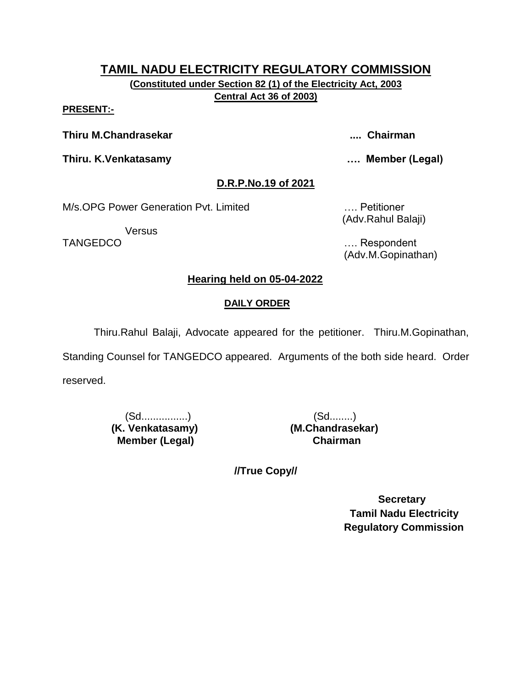**(Constituted under Section 82 (1) of the Electricity Act, 2003 Central Act 36 of 2003)**

#### **PRESENT:-**

**Thiru M.Chandrasekar .... Chairman**

**Thiru. K.Venkatasamy …. Member (Legal)**

## **D.R.P.No.19 of 2021**

M/s.OPG Power Generation Pvt. Limited …. Petitioner

Versus

(Adv.Rahul Balaji)

TANGEDCO …. Respondent (Adv.M.Gopinathan)

## **Hearing held on 05-04-2022**

## **DAILY ORDER**

Thiru.Rahul Balaji, Advocate appeared for the petitioner. Thiru.M.Gopinathan,

Standing Counsel for TANGEDCO appeared. Arguments of the both side heard. Order reserved.

> (Sd................) (Sd........)  **(K. Venkatasamy) (M.Chandrasekar) Member (Legal) Chairman**

**//True Copy//**